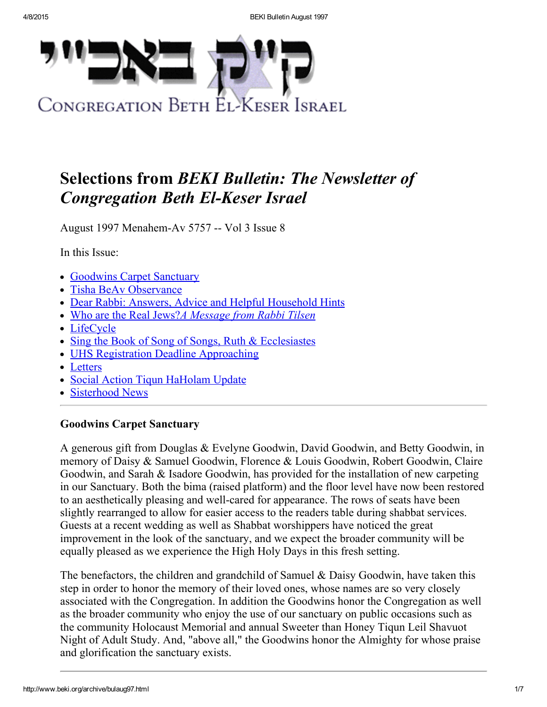

# Selections from BEKI Bulletin: The Newsletter of **Congregation Beth El-Keser Israel**

August 1997 Menahem-Av 5757 -- Vol 3 Issue 8

In this Issue:

- [Goodwins](#page-0-0) Carpet Sanctuary
- Tisha BeAv [Observance](#page-1-1)
- Dear Rabbi: Answers, Advice and Helpful [Household](#page-1-0) Hints
- Who are the Real Jews?A [Message](#page-2-0) from Rabbi Tilsen
- [LifeCycle](#page-3-0)
- Sing the Book of Song of Songs, Ruth & [Ecclesiastes](#page-3-1)
- UHS Registration Deadline [Approaching](#page-3-2)
- [Letters](#page-4-0)
- Social Action Tiqun [HaHolam](#page-4-1) Update
- [Sisterhood](#page-5-0) News

# <span id="page-0-0"></span>Goodwins Carpet Sanctuary

A generous gift from Douglas & Evelyne Goodwin, David Goodwin, and Betty Goodwin, in memory of Daisy & Samuel Goodwin, Florence & Louis Goodwin, Robert Goodwin, Claire Goodwin, and Sarah & Isadore Goodwin, has provided for the installation of new carpeting in our Sanctuary. Both the bima (raised platform) and the floor level have now been restored to an aesthetically pleasing and well-cared for appearance. The rows of seats have been slightly rearranged to allow for easier access to the readers table during shabbat services. Guests at a recent wedding as well as Shabbat worshippers have noticed the great improvement in the look of the sanctuary, and we expect the broader community will be equally pleased as we experience the High Holy Days in this fresh setting.

The benefactors, the children and grandchild of Samuel & Daisy Goodwin, have taken this step in order to honor the memory of their loved ones, whose names are so very closely associated with the Congregation. In addition the Goodwins honor the Congregation as well as the broader community who enjoy the use of our sanctuary on public occasions such as the community Holocaust Memorial and annual Sweeter than Honey Tiqun Leil Shavuot Night of Adult Study. And, "above all," the Goodwins honor the Almighty for whose praise and glorification the sanctuary exists.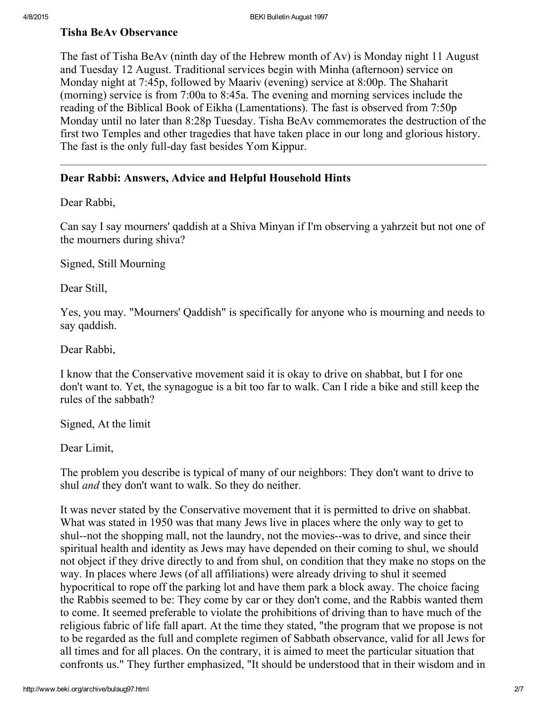#### <span id="page-1-1"></span>Tisha BeAv Observance

The fast of Tisha BeAv (ninth day of the Hebrew month of Av) is Monday night 11 August and Tuesday 12 August. Traditional services begin with Minha (afternoon) service on Monday night at 7:45p, followed by Maariv (evening) service at 8:00p. The Shaharit (morning) service is from 7:00a to 8:45a. The evening and morning services include the reading of the Biblical Book of Eikha (Lamentations). The fast is observed from 7:50p Monday until no later than 8:28p Tuesday. Tisha BeAv commemorates the destruction of the first two Temples and other tragedies that have taken place in our long and glorious history. The fast is the only full-day fast besides Yom Kippur.

### <span id="page-1-0"></span>Dear Rabbi: Answers, Advice and Helpful Household Hints

Dear Rabbi,

Can say I say mourners' qaddish at a Shiva Minyan if I'm observing a yahrzeit but not one of the mourners during shiva?

Signed, Still Mourning

Dear Still,

Yes, you may. "Mourners' Qaddish" is specifically for anyone who is mourning and needs to say qaddish.

Dear Rabbi,

I know that the Conservative movement said it is okay to drive on shabbat, but I for one don't want to. Yet, the synagogue is a bit too far to walk. Can I ride a bike and still keep the rules of the sabbath?

Signed, At the limit

Dear Limit,

The problem you describe is typical of many of our neighbors: They don't want to drive to shul *and* they don't want to walk. So they do neither.

It was never stated by the Conservative movement that it is permitted to drive on shabbat. What was stated in 1950 was that many Jews live in places where the only way to get to shul--not the shopping mall, not the laundry, not the movies--was to drive, and since their spiritual health and identity as Jews may have depended on their coming to shul, we should not object if they drive directly to and from shul, on condition that they make no stops on the way. In places where Jews (of all affiliations) were already driving to shul it seemed hypocritical to rope off the parking lot and have them park a block away. The choice facing the Rabbis seemed to be: They come by car or they don't come, and the Rabbis wanted them to come. It seemed preferable to violate the prohibitions of driving than to have much of the religious fabric of life fall apart. At the time they stated, "the program that we propose is not to be regarded as the full and complete regimen of Sabbath observance, valid for all Jews for all times and for all places. On the contrary, it is aimed to meet the particular situation that confronts us." They further emphasized, "It should be understood that in their wisdom and in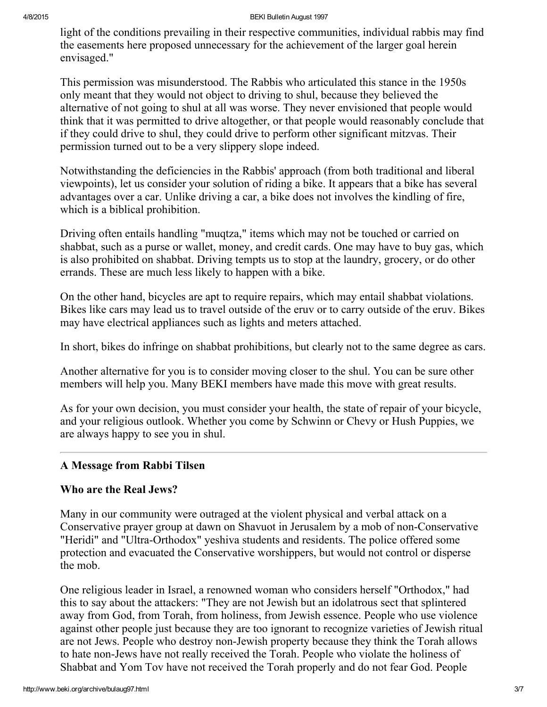light of the conditions prevailing in their respective communities, individual rabbis may find the easements here proposed unnecessary for the achievement of the larger goal herein envisaged."

This permission was misunderstood. The Rabbis who articulated this stance in the 1950s only meant that they would not object to driving to shul, because they believed the alternative of not going to shul at all was worse. They never envisioned that people would think that it was permitted to drive altogether, or that people would reasonably conclude that if they could drive to shul, they could drive to perform other significant mitzvas. Their permission turned out to be a very slippery slope indeed.

Notwithstanding the deficiencies in the Rabbis' approach (from both traditional and liberal viewpoints), let us consider your solution of riding a bike. It appears that a bike has several advantages over a car. Unlike driving a car, a bike does not involves the kindling of fire, which is a biblical prohibition.

Driving often entails handling "muqtza," items which may not be touched or carried on shabbat, such as a purse or wallet, money, and credit cards. One may have to buy gas, which is also prohibited on shabbat. Driving tempts us to stop at the laundry, grocery, or do other errands. These are much less likely to happen with a bike.

On the other hand, bicycles are apt to require repairs, which may entail shabbat violations. Bikes like cars may lead us to travel outside of the eruv or to carry outside of the eruv. Bikes may have electrical appliances such as lights and meters attached.

In short, bikes do infringe on shabbat prohibitions, but clearly not to the same degree as cars.

Another alternative for you is to consider moving closer to the shul. You can be sure other members will help you. Many BEKI members have made this move with great results.

As for your own decision, you must consider your health, the state of repair of your bicycle, and your religious outlook. Whether you come by Schwinn or Chevy or Hush Puppies, we are always happy to see you in shul.

# <span id="page-2-0"></span>A Message from Rabbi Tilsen

#### Who are the Real Jews?

Many in our community were outraged at the violent physical and verbal attack on a Conservative prayer group at dawn on Shavuot in Jerusalem by a mob of non-Conservative "Heridi" and "Ultra-Orthodox" yeshiva students and residents. The police offered some protection and evacuated the Conservative worshippers, but would not control or disperse the mob.

One religious leader in Israel, a renowned woman who considers herself "Orthodox," had this to say about the attackers: "They are not Jewish but an idolatrous sect that splintered away from God, from Torah, from holiness, from Jewish essence. People who use violence against other people just because they are too ignorant to recognize varieties of Jewish ritual are not Jews. People who destroy non-Jewish property because they think the Torah allows to hate non-Jews have not really received the Torah. People who violate the holiness of Shabbat and Yom Tov have not received the Torah properly and do not fear God. People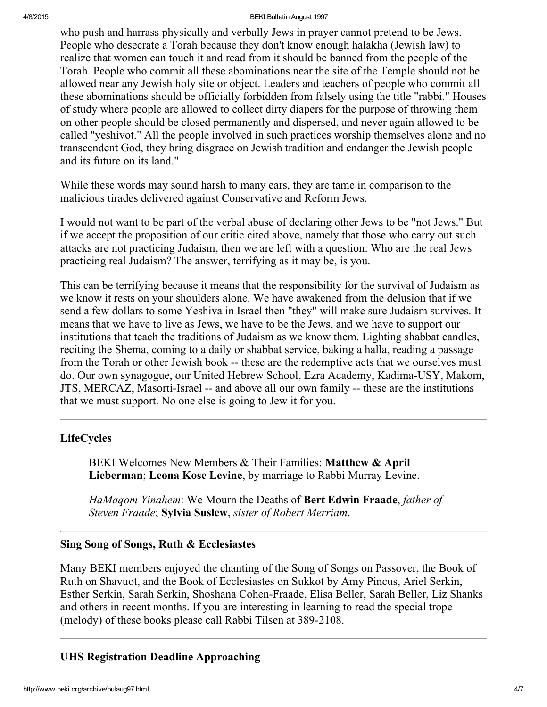#### 4/8/2015 BEKI Bulletin August 1997

who push and harrass physically and verbally Jews in prayer cannot pretend to be Jews. People who desecrate a Torah because they don't know enough halakha (Jewish law) to realize that women can touch it and read from it should be banned from the people of the Torah. People who commit all these abominations near the site of the Temple should not be allowed near any Jewish holy site or object. Leaders and teachers of people who commit all these abominations should be officially forbidden from falsely using the title "rabbi." Houses of study where people are allowed to collect dirty diapers for the purpose of throwing them on other people should be closed permanently and dispersed, and never again allowed to be called "yeshivot." All the people involved in such practices worship themselves alone and no transcendent God, they bring disgrace on Jewish tradition and endanger the Jewish people and its future on its land."

While these words may sound harsh to many ears, they are tame in comparison to the malicious tirades delivered against Conservative and Reform Jews.

I would not want to be part of the verbal abuse of declaring other Jews to be "not Jews." But if we accept the proposition of our critic cited above, namely that those who carry out such attacks are not practicing Judaism, then we are left with a question: Who are the real Jews practicing real Judaism? The answer, terrifying as it may be, is you.

This can be terrifying because it means that the responsibility for the survival of Judaism as we know it rests on your shoulders alone. We have awakened from the delusion that if we send a few dollars to some Yeshiva in Israel then "they" will make sure Judaism survives. It means that we have to live as Jews, we have to be the Jews, and we have to support our institutions that teach the traditions of Judaism as we know them. Lighting shabbat candles, reciting the Shema, coming to a daily or shabbat service, baking a halla, reading a passage from the Torah or other Jewish book -- these are the redemptive acts that we ourselves must do. Our own synagogue, our United Hebrew School, Ezra Academy, Kadima-USY, Makom, JTS, MERCAZ, Masorti-Israel -- and above all our own family -- these are the institutions that we must support. No one else is going to Jew it for you.

# <span id="page-3-0"></span>LifeCycles

BEKI Welcomes New Members & Their Families: Matthew & April Lieberman; Leona Kose Levine, by marriage to Rabbi Murray Levine.

HaMagom Yinahem: We Mourn the Deaths of Bert Edwin Fraade, father of Steven Fraade; Sylvia Suslew, sister of Robert Merriam.

#### <span id="page-3-1"></span>Sing Song of Songs, Ruth & Ecclesiastes

Many BEKI members enjoyed the chanting of the Song of Songs on Passover, the Book of Ruth on Shavuot, and the Book of Ecclesiastes on Sukkot by Amy Pincus, Ariel Serkin, Esther Serkin, Sarah Serkin, Shoshana Cohen-Fraade, Elisa Beller, Sarah Beller, Liz Shanks and others in recent months. If you are interesting in learning to read the special trope (melody) of these books please call Rabbi Tilsen at 389-2108.

# <span id="page-3-2"></span>UHS Registration Deadline Approaching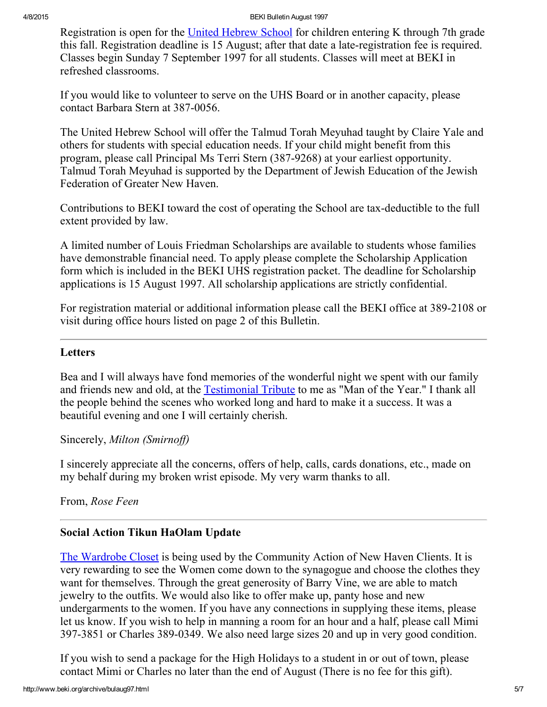Registration is open for the United [Hebrew](http://www.beki.org/archive/youth.html%20#UHS) School for children entering K through 7th grade this fall. Registration deadline is 15 August; after that date a late-registration fee is required. Classes begin Sunday 7 September 1997 for all students. Classes will meet at BEKI in refreshed classrooms.

If you would like to volunteer to serve on the UHS Board or in another capacity, please contact Barbara Stern at 387-0056.

The United Hebrew School will offer the Talmud Torah Meyuhad taught by Claire Yale and others for students with special education needs. If your child might benefit from this program, please call Principal Ms Terri Stern (387-9268) at your earliest opportunity. Talmud Torah Meyuhad is supported by the Department of Jewish Education of the Jewish Federation of Greater New Haven.

Contributions to BEKI toward the cost of operating the School are tax-deductible to the full extent provided by law.

A limited number of Louis Friedman Scholarships are available to students whose families have demonstrable financial need. To apply please complete the Scholarship Application form which is included in the BEKI UHS registration packet. The deadline for Scholarship applications is 15 August 1997. All scholarship applications are strictly confidential.

For registration material or additional information please call the BEKI office at 389-2108 or visit during office hours listed on page 2 of this Bulletin.

### <span id="page-4-0"></span>Letters

Bea and I will always have fond memories of the wonderful night we spent with our family and friends new and old, at the [Testimonial](http://www.beki.org/archive/distinguished.html%20#smirnoff) Tribute to me as "Man of the Year." I thank all the people behind the scenes who worked long and hard to make it a success. It was a beautiful evening and one I will certainly cherish.

#### Sincerely, Milton (Smirnoff)

I sincerely appreciate all the concerns, offers of help, calls, cards donations, etc., made on my behalf during my broken wrist episode. My very warm thanks to all.

From, Rose Feen

# <span id="page-4-1"></span>Social Action Tikun HaOlam Update

The [Wardrobe](http://www.beki.org/archive/tiqunola.html%20#wardrobe) Closet is being used by the Community Action of New Haven Clients. It is very rewarding to see the Women come down to the synagogue and choose the clothes they want for themselves. Through the great generosity of Barry Vine, we are able to match jewelry to the outfits. We would also like to offer make up, panty hose and new undergarments to the women. If you have any connections in supplying these items, please let us know. If you wish to help in manning a room for an hour and a half, please call Mimi 397-3851 or Charles 389-0349. We also need large sizes 20 and up in very good condition.

If you wish to send a package for the High Holidays to a student in or out of town, please contact Mimi or Charles no later than the end of August (There is no fee for this gift).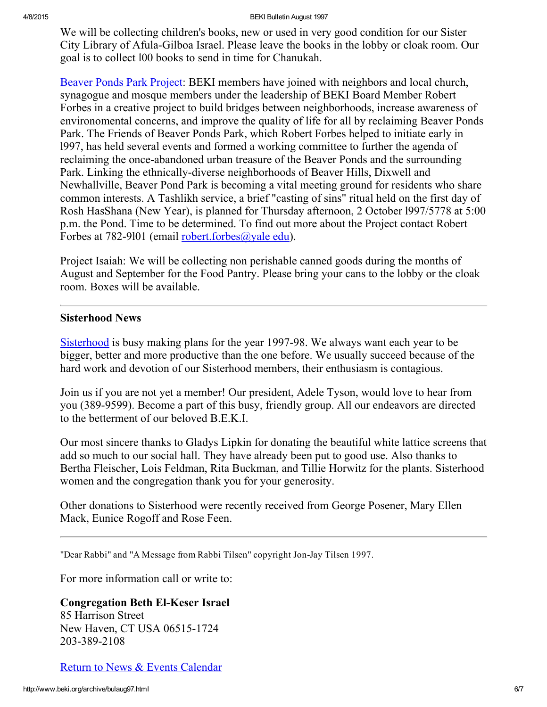We will be collecting children's books, new or used in very good condition for our Sister City Library of Afula-Gilboa Israel. Please leave the books in the lobby or cloak room. Our goal is to collect l00 books to send in time for Chanukah.

Beaver Ponds Park [Project:](http://www.beki.org/archive/tiqunola.html%20#beaverpond) BEKI members have joined with neighbors and local church, synagogue and mosque members under the leadership of BEKI Board Member Robert Forbes in a creative project to build bridges between neighborhoods, increase awareness of environomental concerns, and improve the quality of life for all by reclaiming Beaver Ponds Park. The Friends of Beaver Ponds Park, which Robert Forbes helped to initiate early in l997, has held several events and formed a working committee to further the agenda of reclaiming the once-abandoned urban treasure of the Beaver Ponds and the surrounding Park. Linking the ethnically-diverse neighborhoods of Beaver Hills, Dixwell and Newhallville, Beaver Pond Park is becoming a vital meeting ground for residents who share common interests. A Tashlikh service, a brief "casting of sins" ritual held on the first day of Rosh HasShana (New Year), is planned for Thursday afternoon, 2 October l997/5778 at 5:00 p.m. the Pond. Time to be determined. To find out more about the Project contact Robert Forbes at 782-9101 (email [robert.forbes@yale](mailto:robert.forbes@yale.edu) edu).

Project Isaiah: We will be collecting non perishable canned goods during the months of August and September for the Food Pantry. Please bring your cans to the lobby or the cloak room. Boxes will be available.

#### <span id="page-5-0"></span>Sisterhood News

[Sisterhood](http://www.beki.org/archive/sisterhood.html) is busy making plans for the year 1997-98. We always want each year to be bigger, better and more productive than the one before. We usually succeed because of the hard work and devotion of our Sisterhood members, their enthusiasm is contagious.

Join us if you are not yet a member! Our president, Adele Tyson, would love to hear from you (389-9599). Become a part of this busy, friendly group. All our endeavors are directed to the betterment of our beloved B.E.K.I.

Our most sincere thanks to Gladys Lipkin for donating the beautiful white lattice screens that add so much to our social hall. They have already been put to good use. Also thanks to Bertha Fleischer, Lois Feldman, Rita Buckman, and Tillie Horwitz for the plants. Sisterhood women and the congregation thank you for your generosity.

Other donations to Sisterhood were recently received from George Posener, Mary Ellen Mack, Eunice Rogoff and Rose Feen.

"Dear Rabbi" and "A Message from Rabbi Tilsen" copyright Jon-Jay Tilsen 1997.

For more information call or write to:

#### **Congregation Beth El-Keser Israel**

85 Harrison Street New Haven, CT USA 065151724 203-389-2108

Return to News & Events [Calendar](http://www.beki.org/archive/newsindex.html)